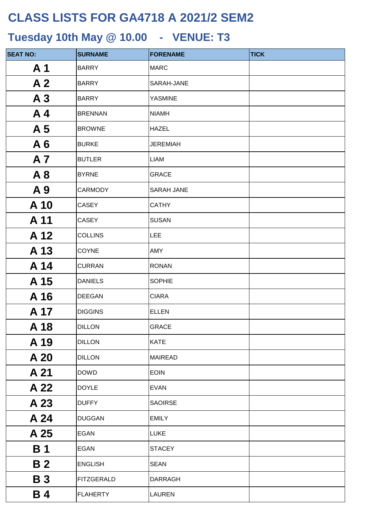| <b>SEAT NO:</b> | <b>SURNAME</b>    | <b>FORENAME</b>   | <b>TICK</b> |
|-----------------|-------------------|-------------------|-------------|
| A <sub>1</sub>  | <b>BARRY</b>      | <b>MARC</b>       |             |
| A <sub>2</sub>  | <b>BARRY</b>      | SARAH-JANE        |             |
| A <sub>3</sub>  | <b>BARRY</b>      | <b>YASMINE</b>    |             |
| A <sub>4</sub>  | <b>BRENNAN</b>    | <b>NIAMH</b>      |             |
| A <sub>5</sub>  | <b>BROWNE</b>     | <b>HAZEL</b>      |             |
| A6              | <b>BURKE</b>      | <b>JEREMIAH</b>   |             |
| A <sub>7</sub>  | <b>BUTLER</b>     | LIAM              |             |
| A8              | <b>BYRNE</b>      | <b>GRACE</b>      |             |
| A 9             | <b>CARMODY</b>    | <b>SARAH JANE</b> |             |
| A 10            | <b>CASEY</b>      | <b>CATHY</b>      |             |
| A 11            | <b>CASEY</b>      | <b>SUSAN</b>      |             |
| A 12            | <b>COLLINS</b>    | <b>LEE</b>        |             |
| A 13            | <b>COYNE</b>      | AMY               |             |
| A 14            | <b>CURRAN</b>     | <b>RONAN</b>      |             |
| A 15            | <b>DANIELS</b>    | <b>SOPHIE</b>     |             |
| A 16            | <b>DEEGAN</b>     | <b>CIARA</b>      |             |
| A 17            | <b>DIGGINS</b>    | <b>ELLEN</b>      |             |
| A 18            | <b>DILLON</b>     | <b>GRACE</b>      |             |
| A 19            | <b>DILLON</b>     | <b>KATE</b>       |             |
| A 20            | <b>DILLON</b>     | <b>MAIREAD</b>    |             |
| A 21            | <b>DOWD</b>       | <b>EOIN</b>       |             |
| A 22            | <b>DOYLE</b>      | <b>EVAN</b>       |             |
| A 23            | <b>DUFFY</b>      | <b>SAOIRSE</b>    |             |
| A 24            | <b>DUGGAN</b>     | <b>EMILY</b>      |             |
| A 25            | <b>EGAN</b>       | <b>LUKE</b>       |             |
| <b>B</b> 1      | <b>EGAN</b>       | <b>STACEY</b>     |             |
| <b>B2</b>       | <b>ENGLISH</b>    | <b>SEAN</b>       |             |
| <b>B3</b>       | <b>FITZGERALD</b> | <b>DARRAGH</b>    |             |
| <b>B4</b>       | <b>FLAHERTY</b>   | LAUREN            |             |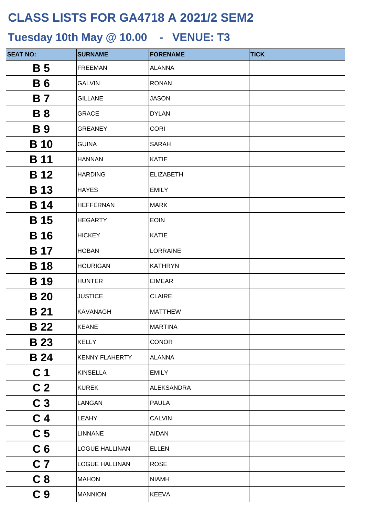| <b>SEAT NO:</b>       | <b>SURNAME</b>        | <b>FORENAME</b>   | <b>TICK</b> |
|-----------------------|-----------------------|-------------------|-------------|
| <b>B</b> 5            | <b>FREEMAN</b>        | <b>ALANNA</b>     |             |
| <b>B6</b>             | <b>GALVIN</b>         | <b>RONAN</b>      |             |
| <b>B</b> 7            | <b>GILLANE</b>        | <b>JASON</b>      |             |
| <b>B</b> 8            | <b>GRACE</b>          | <b>DYLAN</b>      |             |
| <b>B</b> <sub>9</sub> | <b>GREANEY</b>        | <b>CORI</b>       |             |
| <b>B</b> 10           | <b>GUINA</b>          | <b>SARAH</b>      |             |
| <b>B</b> 11           | <b>HANNAN</b>         | <b>KATIE</b>      |             |
| <b>B</b> 12           | <b>HARDING</b>        | <b>ELIZABETH</b>  |             |
| <b>B</b> 13           | <b>HAYES</b>          | <b>EMILY</b>      |             |
| <b>B</b> 14           | <b>HEFFERNAN</b>      | <b>MARK</b>       |             |
| <b>B</b> 15           | <b>HEGARTY</b>        | <b>EOIN</b>       |             |
| <b>B</b> 16           | <b>HICKEY</b>         | <b>KATIE</b>      |             |
| B 17                  | <b>HOBAN</b>          | <b>LORRAINE</b>   |             |
| <b>B</b> 18           | <b>HOURIGAN</b>       | <b>KATHRYN</b>    |             |
| <b>B</b> 19           | <b>HUNTER</b>         | <b>EIMEAR</b>     |             |
| <b>B</b> 20           | <b>JUSTICE</b>        | <b>CLAIRE</b>     |             |
| <b>B</b> 21           | <b>KAVANAGH</b>       | <b>MATTHEW</b>    |             |
| <b>B</b> 22           | <b>KEANE</b>          | <b>MARTINA</b>    |             |
| <b>B</b> 23           | <b>KELLY</b>          | <b>CONOR</b>      |             |
| <b>B</b> 24           | <b>KENNY FLAHERTY</b> | <b>ALANNA</b>     |             |
| C <sub>1</sub>        | <b>KINSELLA</b>       | <b>EMILY</b>      |             |
| C <sub>2</sub>        | <b>KUREK</b>          | <b>ALEKSANDRA</b> |             |
| C <sub>3</sub>        | LANGAN                | <b>PAULA</b>      |             |
| C <sub>4</sub>        | LEAHY                 | <b>CALVIN</b>     |             |
| C <sub>5</sub>        | <b>LINNANE</b>        | <b>AIDAN</b>      |             |
| C <sub>6</sub>        | <b>LOGUE HALLINAN</b> | <b>ELLEN</b>      |             |
| C <sub>7</sub>        | <b>LOGUE HALLINAN</b> | <b>ROSE</b>       |             |
| C <sub>8</sub>        | <b>MAHON</b>          | <b>NIAMH</b>      |             |
| C <sub>9</sub>        | <b>MANNION</b>        | <b>KEEVA</b>      |             |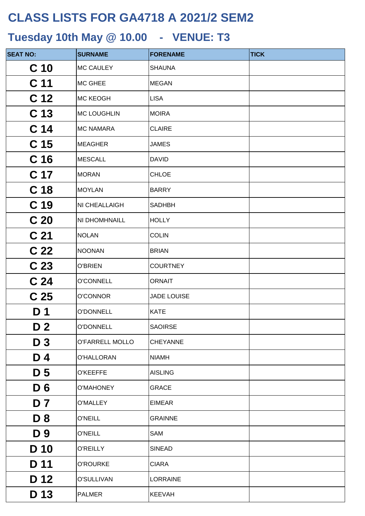| <b>SEAT NO:</b> | <b>SURNAME</b>     | <b>FORENAME</b>    | <b>TICK</b> |
|-----------------|--------------------|--------------------|-------------|
| C <sub>10</sub> | <b>MC CAULEY</b>   | <b>SHAUNA</b>      |             |
| C <sub>11</sub> | <b>MC GHEE</b>     | <b>MEGAN</b>       |             |
| C <sub>12</sub> | <b>MC KEOGH</b>    | <b>LISA</b>        |             |
| C <sub>13</sub> | <b>MC LOUGHLIN</b> | <b>MOIRA</b>       |             |
| C <sub>14</sub> | <b>MC NAMARA</b>   | <b>CLAIRE</b>      |             |
| C <sub>15</sub> | <b>MEAGHER</b>     | <b>JAMES</b>       |             |
| C <sub>16</sub> | <b>MESCALL</b>     | <b>DAVID</b>       |             |
| C <sub>17</sub> | <b>MORAN</b>       | <b>CHLOE</b>       |             |
| C <sub>18</sub> | <b>MOYLAN</b>      | <b>BARRY</b>       |             |
| C <sub>19</sub> | NI CHEALLAIGH      | <b>SADHBH</b>      |             |
| C <sub>20</sub> | NI DHOMHNAILL      | <b>HOLLY</b>       |             |
| C <sub>21</sub> | <b>NOLAN</b>       | <b>COLIN</b>       |             |
| C <sub>22</sub> | <b>NOONAN</b>      | <b>BRIAN</b>       |             |
| C <sub>23</sub> | <b>O'BRIEN</b>     | <b>COURTNEY</b>    |             |
| C <sub>24</sub> | O'CONNELL          | <b>ORNAIT</b>      |             |
| C <sub>25</sub> | O'CONNOR           | <b>JADE LOUISE</b> |             |
| D 1             | <b>O'DONNELL</b>   | <b>KATE</b>        |             |
| D <sub>2</sub>  | O'DONNELL          | <b>SAOIRSE</b>     |             |
| D <sub>3</sub>  | O'FARRELL MOLLO    | <b>CHEYANNE</b>    |             |
| D4              | O'HALLORAN         | <b>NIAMH</b>       |             |
| D <sub>5</sub>  | <b>O'KEEFFE</b>    | <b>AISLING</b>     |             |
| D <sub>6</sub>  | O'MAHONEY          | <b>GRACE</b>       |             |
| D 7             | <b>O'MALLEY</b>    | <b>EIMEAR</b>      |             |
| D <sub>8</sub>  | <b>O'NEILL</b>     | <b>GRAINNE</b>     |             |
| D 9             | <b>O'NEILL</b>     | SAM                |             |
| D 10            | <b>O'REILLY</b>    | <b>SINEAD</b>      |             |
| D 11            | <b>O'ROURKE</b>    | <b>CIARA</b>       |             |
| D 12            | O'SULLIVAN         | <b>LORRAINE</b>    |             |
| D 13            | <b>PALMER</b>      | <b>KEEVAH</b>      |             |